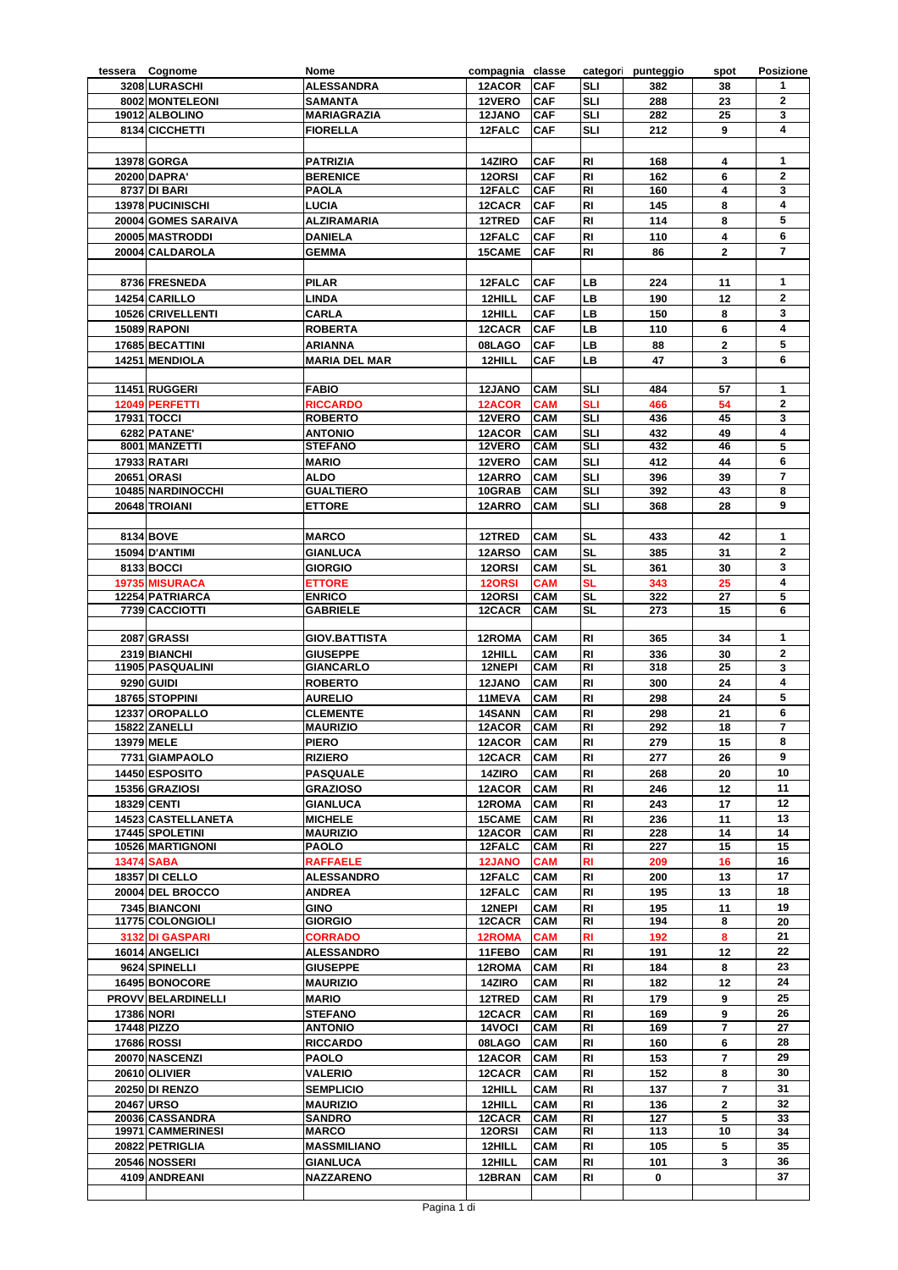|                   | tessera Cognome                      | Nome                      | compagnia classe |                   |            | categori punteggio | spot                    | <b>Posizione</b>        |
|-------------------|--------------------------------------|---------------------------|------------------|-------------------|------------|--------------------|-------------------------|-------------------------|
|                   | 3208 LURASCHI                        | <b>ALESSANDRA</b>         | 12ACOR           | <b>CAF</b>        | SLI        | 382                | 38                      | $\mathbf{1}$            |
|                   | 8002 MONTELEONI                      | <b>SAMANTA</b>            | 12VERO           | CAF               | SLI        | 288                | 23                      | $\overline{2}$          |
|                   | 19012 ALBOLINO                       | <b>MARIAGRAZIA</b>        | 12JANO           | <b>CAF</b>        | <b>SLI</b> | 282                | 25                      | 3                       |
|                   | 8134 CICCHETTI                       | <b>FIORELLA</b>           | 12FALC           | <b>CAF</b>        | SLI        | 212                | 9                       | 4                       |
|                   |                                      |                           |                  |                   |            |                    |                         |                         |
|                   | 13978 GORGA                          | <b>PATRIZIA</b>           | 14ZIRO           | CAF               | RI         | 168                | $\overline{\mathbf{4}}$ | $\mathbf{1}$            |
|                   | 20200 DAPRA'                         | <b>BERENICE</b>           | 120RSI           | CAF               | <b>RI</b>  | 162                | 6                       | $\mathbf{2}$            |
|                   | 8737 DI BARI                         | <b>PAOLA</b>              | 12FALC           | <b>CAF</b>        | RI         | 160                | 4                       | 3                       |
|                   | 13978 PUCINISCHI                     | LUCIA                     | 12CACR           | <b>CAF</b>        | <b>RI</b>  | 145                | 8                       | 4                       |
|                   | 20004 GOMES SARAIVA                  | <b>ALZIRAMARIA</b>        | 12TRED           | <b>CAF</b>        | RI         | 114                | 8                       | 5                       |
|                   | 20005 MASTRODDI                      | <b>DANIELA</b>            | 12FALC           | CAF               | RI         | 110                | $\overline{\mathbf{4}}$ | 6                       |
|                   | 20004 CALDAROLA                      | <b>GEMMA</b>              | 15CAME           | <b>CAF</b>        | <b>RI</b>  | 86                 | $\mathbf{2}$            | $\overline{7}$          |
|                   |                                      |                           |                  |                   |            |                    |                         |                         |
|                   |                                      |                           |                  |                   |            |                    |                         |                         |
|                   | 8736 FRESNEDA                        | <b>PILAR</b>              | 12FALC           | <b>CAF</b>        | LВ         | 224                | 11                      | $\mathbf{1}$            |
|                   | 14254 CARILLO                        | <b>LINDA</b>              | 12HILL           | CAF               | LВ         | 190                | 12                      | $\mathbf{2}$            |
|                   | 10526 CRIVELLENTI                    | <b>CARLA</b>              | 12HILL           | CAF               | LВ         | 150                | 8                       | 3                       |
|                   | <b>15089 RAPONI</b>                  | <b>ROBERTA</b>            | 12CACR           | CAF               | LВ         | 110                | 6                       | 4                       |
|                   | 17685 BECATTINI                      | ARIANNA                   | 08LAGO           | CAF               | LВ         | 88                 | $\mathbf{2}$            | 5                       |
|                   | 14251 MENDIOLA                       | <b>MARIA DEL MAR</b>      | 12HILL           | <b>CAF</b>        | LВ         | 47                 | 3                       | 6                       |
|                   |                                      |                           |                  |                   |            |                    |                         |                         |
|                   | 11451 RUGGERI                        | <b>FABIO</b>              | 12JANO           | CAM               | SLI        | 484                | 57                      | $\mathbf{1}$            |
|                   | 12049 PERFETTI                       | <b>RICCARDO</b>           | 12ACOR           | <b>CAM</b>        | SLI        | 466                | 54                      | $\mathbf{2}$            |
|                   | <b>17931 TOCCI</b>                   | <b>ROBERTO</b>            | 12VERO           | <b>CAM</b>        | SLI        | 436                | 45                      | 3                       |
|                   | 6282 PATANE'                         | <b>ANTONIO</b>            | 12ACOR           | CAM               | <b>SLI</b> | 432                | 49                      | $\overline{\mathbf{4}}$ |
|                   | 8001 MANZETTI                        | <b>STEFANO</b>            | 12VERO           | <b>CAM</b>        | SLI        | 432                | 46                      | 5                       |
|                   | <b>17933 RATARI</b>                  | <b>MARIO</b>              | 12VERO           | CAM               | <b>SLI</b> | 412                | 44                      | 6                       |
|                   | <b>20651 ORASI</b>                   | <b>ALDO</b>               | 12ARRO           | <b>CAM</b>        | <b>SLI</b> | 396                | 39                      | 7                       |
|                   | 10485 NARDINOCCHI                    | <b>GUALTIERO</b>          | 10GRAB           | CAM               | <b>SLI</b> | 392                | 43                      | 8                       |
|                   | 20648 TROIANI                        | <b>ETTORE</b>             | 12ARRO           | <b>CAM</b>        | SLI        | 368                | 28                      | 9                       |
|                   |                                      |                           |                  |                   |            |                    |                         |                         |
|                   | 8134 BOVE                            | <b>MARCO</b>              | 12TRED           | <b>CAM</b>        | SL         | 433                | 42                      | 1                       |
|                   | 15094 D'ANTIMI                       | <b>GIANLUCA</b>           | 12ARSO           | CAM               | SL         | 385                | 31                      | $\overline{\mathbf{2}}$ |
|                   | 8133 BOCCI                           | <b>GIORGIO</b>            | 120RSI           | <b>CAM</b>        | <b>SL</b>  | 361                | 30                      | 3                       |
|                   | 19735 MISURACA                       | <b>ETTORE</b>             | 12ORSI           | <b>CAM</b>        | SL         | 343                | 25                      | 4                       |
|                   | 12254 PATRIARCA                      | <b>ENRICO</b>             | 120RSI           | <b>CAM</b>        | SL         | 322                | 27                      | 5                       |
|                   | 7739 CACCIOTTI                       | <b>GABRIELE</b>           | 12CACR           | <b>CAM</b>        | <b>SL</b>  | 273                | 15                      | 6                       |
|                   |                                      |                           |                  |                   |            |                    |                         |                         |
|                   | 2087 GRASSI                          | <b>GIOV.BATTISTA</b>      | 12ROMA           | CAM               | RI         | 365                | 34                      | $\mathbf{1}$            |
|                   | 2319 BIANCHI                         | <b>GIUSEPPE</b>           | 12HILL           | CAM               | RI         | 336                | 30                      | $\mathbf{2}$            |
|                   | 11905 PASQUALINI                     | <b>GIANCARLO</b>          | 12NEPI           | CAM               | RI         | 318                | 25                      | 3                       |
|                   | 9290 GUIDI                           | <b>ROBERTO</b>            | 12JANO           | <b>CAM</b>        | RI         | 300                | 24                      | 4                       |
|                   | 18765 STOPPINI                       | <b>AURELIO</b>            | 11MEVA           | <b>CAM</b>        | RI         | 298                | 24                      | 5                       |
|                   | 12337 OROPALLO                       | <b>CLEMENTE</b>           | 14SANN           | <b>CAM</b>        | RI         | 298                | 21                      | 6                       |
|                   | 15822 ZANELLI                        | <b>MAURIZIO</b>           | 12ACOR           | <b>CAM</b>        | RI         | 292                | 18                      | 7                       |
|                   | 13979 MELE                           | <b>PIERO</b>              | 12ACOR CAM       |                   | <b>RI</b>  | 279                | 15                      | 8                       |
|                   |                                      |                           |                  |                   |            |                    |                         | 9                       |
|                   | 7731 GIAMPAOLO                       | <b>RIZIERO</b>            | 12CACR           | <b>CAM</b>        | RI         | 277                | 26                      |                         |
|                   | 14450 ESPOSITO                       | <b>PASQUALE</b>           | 14ZIRO           | <b>CAM</b>        | RI         | 268                | 20                      | 10                      |
|                   | 15356 GRAZIOSI                       | <b>GRAZIOSO</b>           | 12ACOR           | <b>CAM</b>        | RI         | 246                | 12                      | 11                      |
|                   | <b>18329 CENTI</b>                   | <b>GIANLUCA</b>           | 12ROMA           | <b>CAM</b>        | RI         | 243                | 17                      | 12                      |
|                   | 14523 CASTELLANETA                   | <b>MICHELE</b>            | 15CAME           | <b>CAM</b>        | RI         | 236                | 11                      | 13                      |
|                   | 17445 SPOLETINI                      | <b>MAURIZIO</b>           | 12ACOR           | <b>CAM</b>        | RI         | 228                | 14                      | 14                      |
|                   | 10526 MARTIGNONI                     | PAOLO                     | 12FALC           | <b>CAM</b>        | RI         | 227                | 15                      | 15                      |
|                   | <b>13474 SABA</b>                    | <b>RAFFAELE</b>           | <b>12JANO</b>    | CAM               | RI         | 209                | 16                      | 16                      |
|                   | <b>18357 DI CELLO</b>                | <b>ALESSANDRO</b>         | 12FALC           | <b>CAM</b>        | RI         | 200                | 13                      | 17                      |
|                   | 20004 DEL BROCCO                     | <b>ANDREA</b>             | 12FALC           | <b>CAM</b>        | RI         | 195                | 13                      | 18                      |
|                   | 7345 BIANCONI                        | <b>GINO</b>               | 12NEPI           | <b>CAM</b>        | RI         | 195                | 11                      | 19                      |
|                   | 11775 COLONGIOLI                     | <b>GIORGIO</b>            | 12CACR           | <b>CAM</b>        | RI         | 194                | 8                       | 20                      |
|                   | 3132 DI GASPARI                      | <b>CORRADO</b>            | 12ROMA           | <b>CAM</b>        | RI         | 192                | 8                       | 21                      |
|                   | 16014 ANGELICI                       | <b>ALESSANDRO</b>         | 11FEBO           | <b>CAM</b>        | RI         | 191                | 12                      | 22                      |
|                   | 9624 SPINELLI                        | <b>GIUSEPPE</b>           | 12ROMA           | <b>CAM</b>        | RI         | 184                | 8                       | 23                      |
|                   | 16495 BONOCORE                       | <b>MAURIZIO</b>           | 14ZIRO           | <b>CAM</b>        | RI         | 182                | 12                      | 24                      |
|                   | <b>PROVV BELARDINELLI</b>            | <b>MARIO</b>              | 12TRED           | <b>CAM</b>        | RI         | 179                | 9                       | 25                      |
| <b>17386 NORI</b> |                                      | <b>STEFANO</b>            | 12CACR           | <b>CAM</b>        | RI         | 169                | 9                       | 26                      |
|                   | 17448 PIZZO                          | <b>ANTONIO</b>            | 14VOCI           | <b>CAM</b>        | RI         | 169                | 7                       | 27                      |
|                   | <b>17686 ROSSI</b>                   | <b>RICCARDO</b>           | 08LAGO           | <b>CAM</b>        | RI         | 160                | 6                       | 28                      |
|                   | 20070 NASCENZI                       | <b>PAOLO</b>              | 12ACOR           | <b>CAM</b>        | RI         | 153                | 7                       | 29                      |
|                   | 20610 OLIVIER                        | <b>VALERIO</b>            | 12CACR           | <b>CAM</b>        | RI         | 152                | 8                       | 30                      |
|                   | <b>20250 DI RENZO</b>                | <b>SEMPLICIO</b>          | 12HILL           | <b>CAM</b>        | RI         | 137                | $\overline{\mathbf{r}}$ | 31                      |
|                   |                                      |                           |                  |                   |            |                    |                         | 32                      |
|                   | <b>20467 URSO</b><br>20036 CASSANDRA | <b>MAURIZIO</b><br>SANDRO | 12HILL<br>12CACR | CAM<br><b>CAM</b> | RI<br>RI   | 136<br>127         | $\mathbf{2}$<br>5       |                         |
|                   | 19971 CAMMERINESI                    | <b>MARCO</b>              | 120RSI           | <b>CAM</b>        | RI         | 113                | 10                      | 33<br>34                |
|                   | 20822 PETRIGLIA                      | <b>MASSMILIANO</b>        | 12HILL           | <b>CAM</b>        | RI         | 105                | 5                       | 35                      |
|                   |                                      |                           |                  |                   |            |                    |                         |                         |
|                   | 20546 NOSSERI                        | <b>GIANLUCA</b>           | 12HILL           | <b>CAM</b>        | RI         | 101                | 3                       | 36                      |
|                   | 4109 ANDREANI                        | <b>NAZZARENO</b>          | 12BRAN           | <b>CAM</b>        | RI         | 0                  |                         | 37                      |
|                   |                                      |                           |                  |                   |            |                    |                         |                         |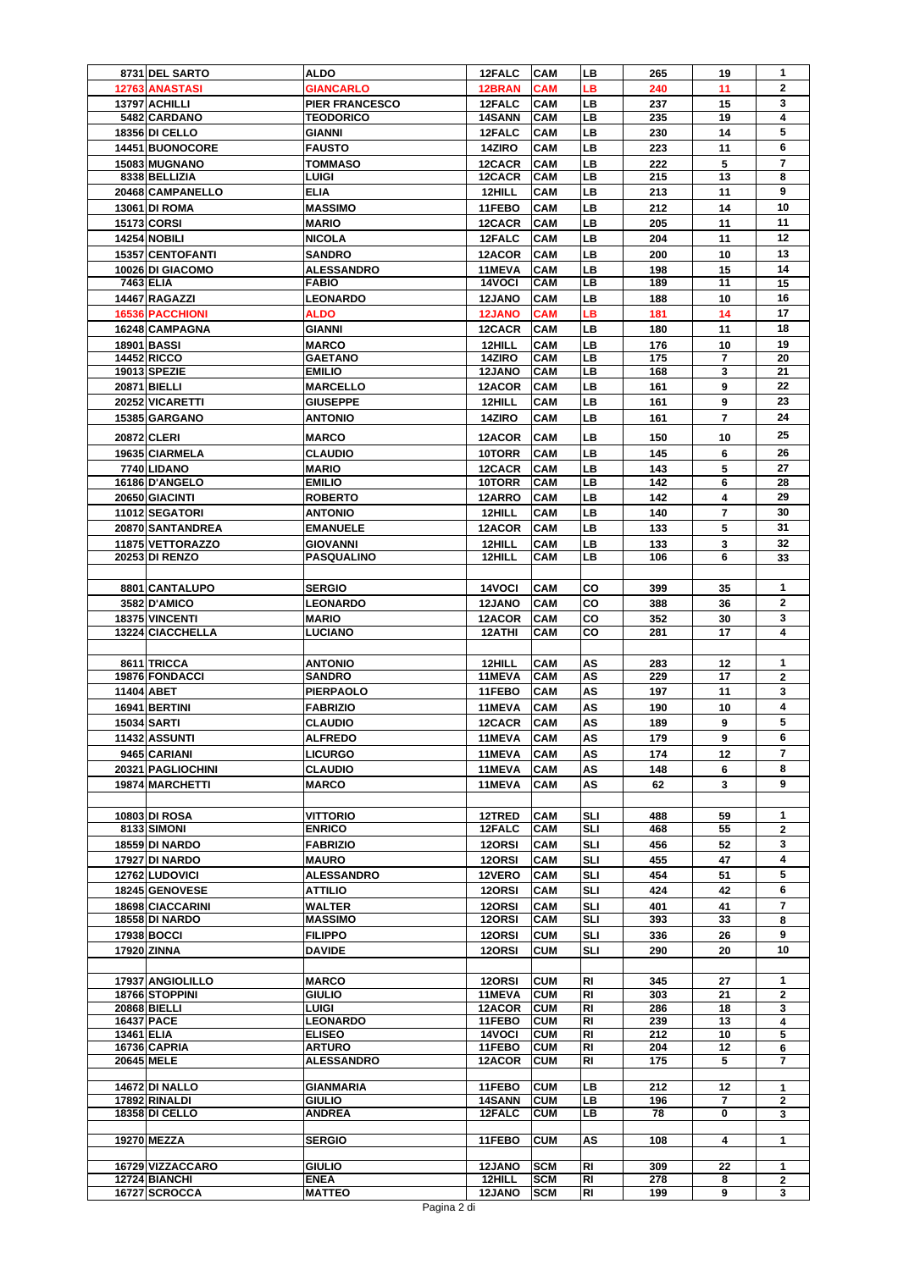|            | 8731 DEL SARTO         | <b>ALDO</b>           | 12FALC        | <b>CAM</b> | LВ         | 265 | 19                      | 1              |
|------------|------------------------|-----------------------|---------------|------------|------------|-----|-------------------------|----------------|
|            | <b>12763 ANASTASI</b>  | <b>GIANCARLO</b>      | 12BRAN        | <b>CAM</b> | LВ         | 240 | 11                      | $\mathbf{2}$   |
|            | 13797 ACHILLI          | <b>PIER FRANCESCO</b> | 12FALC        | <b>CAM</b> | <b>LB</b>  | 237 | 15                      | 3              |
|            | 5482 CARDANO           | <b>TEODORICO</b>      | <b>14SANN</b> | <b>CAM</b> | <b>LB</b>  | 235 | 19                      | 4              |
|            |                        |                       |               |            |            |     |                         |                |
|            | 18356 DI CELLO         | <b>GIANNI</b>         | 12FALC        | <b>CAM</b> | <b>LB</b>  | 230 | 14                      | 5              |
|            | 14451 BUONOCORE        | <b>FAUSTO</b>         | 14ZIRO        | CAM        | LB         | 223 | 11                      | 6              |
|            |                        |                       |               |            |            |     |                         | 7              |
|            | 15083 MUGNANO          | <b>TOMMASO</b>        | 12CACR        | CAM        | <b>LB</b>  | 222 | 5                       |                |
|            | 8338 BELLIZIA          | <b>LUIGI</b>          | 12CACR        | <b>CAM</b> | <b>LB</b>  | 215 | 13                      | 8              |
|            | 20468 CAMPANELLO       | <b>ELIA</b>           | 12HILL        | <b>CAM</b> | <b>LB</b>  | 213 | 11                      | 9              |
|            | <b>13061 DI ROMA</b>   | <b>MASSIMO</b>        |               | <b>CAM</b> | <b>LB</b>  | 212 | 14                      | 10             |
|            |                        |                       | 11FEBO        |            |            |     |                         |                |
|            | <b>15173 CORSI</b>     | <b>MARIO</b>          | 12CACR        | <b>CAM</b> | LB         | 205 | 11                      | 11             |
|            | <b>14254 NOBILI</b>    | <b>NICOLA</b>         | 12FALC        | CAM        | LB         | 204 | 11                      | 12             |
|            |                        |                       |               |            |            |     |                         | 13             |
|            | 15357 CENTOFANTI       | <b>SANDRO</b>         | 12ACOR        | <b>CAM</b> | <b>LB</b>  | 200 | 10                      |                |
|            | 10026 DI GIACOMO       | <b>ALESSANDRO</b>     | 11MEVA        | CAM        | LB         | 198 | 15                      | 14             |
|            | 7463 ELIA              | <b>FABIO</b>          | 14VOCI        | CAM        | LВ         | 189 | 11                      | 15             |
|            | 14467 RAGAZZI          | <b>LEONARDO</b>       | <b>12JANO</b> | <b>CAM</b> | LВ         | 188 | 10                      | 16             |
|            |                        |                       |               |            |            |     |                         |                |
|            | <b>16536 PACCHIONI</b> | <b>ALDO</b>           | <b>12JANO</b> | <b>CAM</b> | LВ         | 181 | 14                      | 17             |
|            | 16248 CAMPAGNA         | <b>GIANNI</b>         | 12CACR        | CAM        | <b>LB</b>  | 180 | 11                      | 18             |
|            | <b>18901 BASSI</b>     | <b>MARCO</b>          | 12HILL        | CAM        | <b>LB</b>  | 176 | 10                      | 19             |
|            |                        |                       |               |            |            |     |                         |                |
|            | <b>14452 RICCO</b>     | <b>GAETANO</b>        | 14ZIRO        | <b>CAM</b> | LB         | 175 | 7                       | 20             |
|            | 19013 SPEZIE           | <b>EMILIO</b>         | <b>12JANO</b> | <b>CAM</b> | LB         | 168 | 3                       | 21             |
|            | <b>20871 BIELLI</b>    | <b>MARCELLO</b>       | 12ACOR        | <b>CAM</b> | LB         | 161 | 9                       | 22             |
|            | 20252 VICARETTI        | <b>GIUSEPPE</b>       | 12HILL        | <b>CAM</b> | <b>LB</b>  | 161 | 9                       | 23             |
|            |                        |                       |               |            |            |     |                         |                |
|            | 15385 GARGANO          | <b>ANTONIO</b>        | 14ZIRO        | <b>CAM</b> | <b>LB</b>  | 161 | $\overline{7}$          | 24             |
|            |                        |                       |               |            |            |     |                         | 25             |
|            | 20872 CLERI            | <b>MARCO</b>          | 12ACOR        | CAM        | <b>LB</b>  | 150 | 10                      |                |
|            | 19635 CIARMELA         | <b>CLAUDIO</b>        | 10TORR        | CAM        | <b>LB</b>  | 145 | 6                       | 26             |
|            | 7740 LIDANO            |                       |               | CAM        | LB         | 143 | 5                       | 27             |
|            |                        | <b>MARIO</b>          | 12CACR        |            |            |     |                         |                |
|            | 16186 D'ANGELO         | <b>EMILIO</b>         | 10TORR        | CAM        | LB         | 142 | 6                       | 28             |
|            | 20650 GIACINTI         | <b>ROBERTO</b>        | 12ARRO        | <b>CAM</b> | LВ         | 142 | 4                       | 29             |
|            | 11012 SEGATORI         | <b>ANTONIO</b>        | 12HILL        | <b>CAM</b> | LB         | 140 | $\overline{7}$          | 30             |
|            |                        |                       |               |            |            |     |                         |                |
|            | 20870 SANTANDREA       | <b>EMANUELE</b>       | 12ACOR        | CAM        | <b>LB</b>  | 133 | 5                       | 31             |
|            | 11875 VETTORAZZO       | <b>GIOVANNI</b>       | 12HILL        | CAM        | <b>LB</b>  | 133 | 3                       | 32             |
|            | 20253 DI RENZO         | <b>PASQUALINO</b>     | 12HILL        | <b>CAM</b> | LВ         | 106 | 6                       | 33             |
|            |                        |                       |               |            |            |     |                         |                |
|            |                        |                       |               |            |            |     |                         |                |
|            | 8801 CANTALUPO         | <b>SERGIO</b>         | 14VOCI        | <b>CAM</b> | CO         | 399 | 35                      | $\mathbf{1}$   |
|            |                        |                       |               |            |            |     |                         | $\overline{2}$ |
|            | 3582 D'AMICO           | <b>LEONARDO</b>       | <b>12JANO</b> | CAM        | CO         | 388 | 36                      |                |
|            | 18375 VINCENTI         | <b>MARIO</b>          | 12ACOR        | <b>CAM</b> | CO         | 352 | 30                      | 3              |
|            | 13224 CIACCHELLA       | <b>LUCIANO</b>        | 12ATHI        | <b>CAM</b> | CO         | 281 | 17                      | 4              |
|            |                        |                       |               |            |            |     |                         |                |
|            |                        |                       |               |            |            |     |                         |                |
|            | 8611 TRICCA            | <b>ANTONIO</b>        | 12HILL        | CAM        | AS         | 283 | 12                      | 1              |
|            | 19876 FONDACCI         | <b>SANDRO</b>         | 11MEVA        | CAM        | AS         | 229 | 17                      | 2              |
|            |                        |                       |               |            |            |     |                         |                |
|            | 11404 ABET             | <b>PIERPAOLO</b>      | 11FEBO        | <b>CAM</b> | AS         | 197 | 11                      | 3              |
|            | 16941 BERTINI          | <b>FABRIZIO</b>       | 11MEVA        | <b>CAM</b> | AS         | 190 | 10                      | 4              |
|            | <b>15034 SARTI</b>     | <b>CLAUDIO</b>        | 12CACR        | <b>CAM</b> | AS         | 189 | 9                       | 5              |
|            |                        |                       |               |            |            |     |                         |                |
|            | <b>11432 ASSUNTI</b>   | <b>ALFREDO</b>        | 11MEVA CAM    |            | AS         | 179 | 9                       | 6              |
|            | 9465 CARIANI           | <b>LICURGO</b>        | 11MEVA        | <b>CAM</b> | AS         | 174 | 12                      | $\overline{7}$ |
|            |                        |                       |               |            |            |     |                         | 8              |
|            | 20321 PAGLIOCHINI      | <b>CLAUDIO</b>        | 11MEVA        | <b>CAM</b> | AS         | 148 | 6                       |                |
|            | 19874 MARCHETTI        | <b>MARCO</b>          | 11MEVA        | <b>CAM</b> | AS         | 62  | 3                       | 9              |
|            |                        |                       |               |            |            |     |                         |                |
|            |                        |                       |               |            |            |     |                         |                |
|            | 10803 DI ROSA          | <b>VITTORIO</b>       | 12TRED        | <b>CAM</b> | SLI        | 488 | 59                      | 1              |
|            | 8133 SIMONI            | <b>ENRICO</b>         | 12FALC        | <b>CAM</b> | SLI        | 468 | 55                      | $\mathbf{2}$   |
|            | <b>18559 DI NARDO</b>  | <b>FABRIZIO</b>       | 12ORSI        | <b>CAM</b> | SLI        | 456 | 52                      | 3              |
|            | 17927 DI NARDO         |                       | 120RSI        |            | SLI        | 455 |                         | 4              |
|            |                        | <b>MAURO</b>          |               | <b>CAM</b> |            |     | 47                      |                |
|            | 12762 LUDOVICI         | <b>ALESSANDRO</b>     | 12VERO        | <b>CAM</b> | <b>SLI</b> | 454 | 51                      | 5              |
|            | 18245 GENOVESE         | <b>ATTILIO</b>        | 120RSI        | <b>CAM</b> | <b>SLI</b> | 424 | 42                      | 6              |
|            | 18698 CIACCARINI       | <b>WALTER</b>         | 12ORSI        | <b>CAM</b> |            |     |                         | 7              |
|            |                        |                       |               |            | SLI        | 401 | 41                      |                |
|            | <b>18558 DI NARDO</b>  | <b>MASSIMO</b>        | 120RSI        | <b>CAM</b> | SLI        | 393 | 33                      | 8              |
|            | 17938 BOCCI            | <b>FILIPPO</b>        | 12ORSI        | <b>CUM</b> | SLI        | 336 | 26                      | 9              |
|            | 17920 ZINNA            | <b>DAVIDE</b>         | 120RSI        | <b>CUM</b> | SLI        | 290 | 20                      | 10             |
|            |                        |                       |               |            |            |     |                         |                |
|            |                        |                       |               |            |            |     |                         |                |
|            | 17937 ANGIOLILLO       | <b>MARCO</b>          | 12ORSI        | <b>CUM</b> | RI         | 345 | 27                      | $\mathbf{1}$   |
|            | 18766 STOPPINI         | <b>GIULIO</b>         | 11MEVA        | <b>CUM</b> | RI         | 303 | 21                      | 2              |
|            | 20868 BIELLI           | LUIGI                 | 12ACOR        | <b>CUM</b> | RI         | 286 | 18                      |                |
|            |                        |                       |               |            |            |     |                         | 3              |
|            | <b>16437 PACE</b>      | <b>LEONARDO</b>       | 11FEBO        | <b>CUM</b> | RI         | 239 | 13                      | 4              |
| 13461 ELIA |                        | <b>ELISEO</b>         | 14VOCI        | <b>CUM</b> | RI         | 212 | 10                      | 5              |
|            | 16736 CAPRIA           | <b>ARTURO</b>         | 11FEBO        | <b>CUM</b> | RI         | 204 | 12                      | 6              |
|            | 20645 MELE             | <b>ALESSANDRO</b>     | 12ACOR        | <b>CUM</b> | RI         | 175 | 5                       | 7              |
|            |                        |                       |               |            |            |     |                         |                |
|            |                        |                       |               |            |            |     |                         |                |
|            | 14672 DI NALLO         | <b>GIANMARIA</b>      | 11FEBO        | <b>CUM</b> | LB.        | 212 | 12                      | 1              |
|            | 17892 RINALDI          | <b>GIULIO</b>         | <b>14SANN</b> | <b>CUM</b> | <b>LB</b>  | 196 | $\overline{\mathbf{r}}$ | $\mathbf{2}$   |
|            | <b>18358 DI CELLO</b>  | <b>ANDREA</b>         | 12FALC        | <b>CUM</b> | LB.        | 78  | 0                       | 3              |
|            |                        |                       |               |            |            |     |                         |                |
|            | 19270 MEZZA            | <b>SERGIO</b>         | 11FEBO        | <b>CUM</b> | AS         | 108 | 4                       | 1              |
|            |                        |                       |               |            |            |     |                         |                |
|            |                        |                       |               |            |            |     |                         |                |
|            | 16729 VIZZACCARO       | <b>GIULIO</b>         | <b>12JANO</b> | <b>SCM</b> | RI         | 309 | 22                      | 1              |
|            | 12724 BIANCHI          | <b>ENEA</b>           | 12HILL        | <b>SCM</b> | RI         | 278 | 8                       | $\mathbf{2}$   |
|            |                        |                       |               |            |            |     |                         |                |